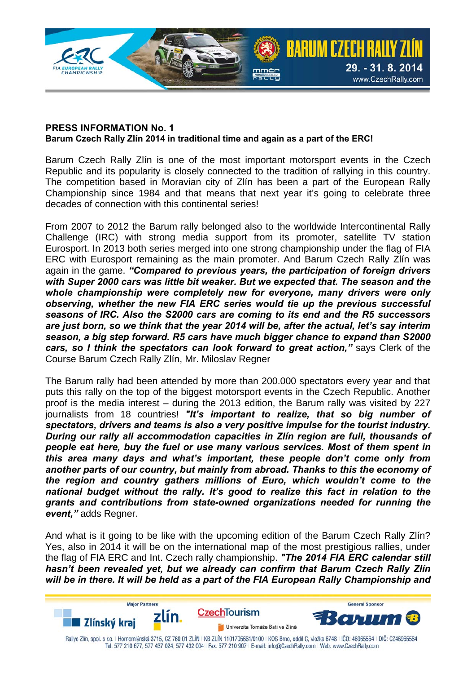

## **PRESS INFORMATION No. 1 Barum Czech Rally Zlín 2014 in traditional time and again as a part of the ERC!**

Barum Czech Rally Zlín is one of the most important motorsport events in the Czech Republic and its popularity is closely connected to the tradition of rallying in this country. The competition based in Moravian city of Zlín has been a part of the European Rally Championship since 1984 and that means that next year it's going to celebrate three decades of connection with this continental series!

From 2007 to 2012 the Barum rally belonged also to the worldwide Intercontinental Rally Challenge (IRC) with strong media support from its promoter, satellite TV station Eurosport. In 2013 both series merged into one strong championship under the flag of FIA ERC with Eurosport remaining as the main promoter. And Barum Czech Rally Zlín was again in the game. *"Compared to previous years, the participation of foreign drivers with Super 2000 cars was little bit weaker. But we expected that. The season and the whole championship were completely new for everyone, many drivers were only observing, whether the new FIA ERC series would tie up the previous successful seasons of IRC. Also the S2000 cars are coming to its end and the R5 successors are just born, so we think that the year 2014 will be, after the actual, let's say interim season, a big step forward. R5 cars have much bigger chance to expand than S2000 cars, so I think the spectators can look forward to great action,"* says Clerk of the Course Barum Czech Rally Zlín, Mr. Miloslav Regner

The Barum rally had been attended by more than 200.000 spectators every year and that puts this rally on the top of the biggest motorsport events in the Czech Republic. Another proof is the media interest – during the 2013 edition, the Barum rally was visited by 227 journalists from 18 countries! *"It's important to realize, that so big number of spectators, drivers and teams is also a very positive impulse for the tourist industry. During our rally all accommodation capacities in Zlín region are full, thousands of people eat here, buy the fuel or use many various services. Most of them spent in this area many days and what's important, these people don't come only from another parts of our country, but mainly from abroad. Thanks to this the economy of the region and country gathers millions of Euro, which wouldn't come to the national budget without the rally. It's good to realize this fact in relation to the grants and contributions from state-owned organizations needed for running the event,"* adds Regner.

And what is it going to be like with the upcoming edition of the Barum Czech Rally Zlín? Yes, also in 2014 it will be on the international map of the most prestigious rallies, under the flag of FIA ERC and Int. Czech rally championship. *"The 2014 FIA ERC calendar still hasn't been revealed yet, but we already can confirm that Barum Czech Rally Zlín will be in there. It will be held as a part of the FIA European Rally Championship and*